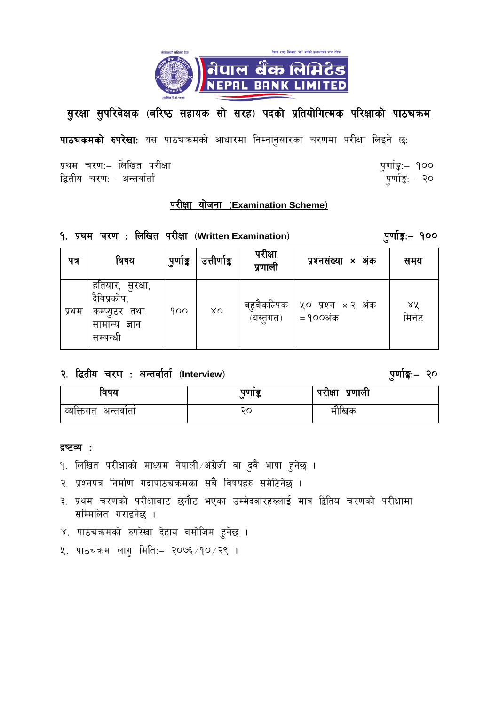

# <u>सुरक्षा सुपरिवेक्षक (बरिष्ठ सहायक सो सरह) पदको प्रतियोगित्मक परिक्षाको पाठचकम</u>

पाठचकमको रुपरेखा: यस पाठचकमको आधारमा निम्नानुसारका चरणमा परीक्षा लिइने छ:

प्रथम चरण:- लिखित परीक्षा द्धितीय चरण:– अन्तर्वार्ता

पुर्णाङ्कः– १०० ्पूर्णाङ्क:<sub>—</sub> २०

पुर्णाङ्कः– १००

# <u>परीक्षा योजना (Examination Scheme)</u>

### १. प्रथम चरण: लिखित परीक्षा (Written Examination)

| पत्र  | विषय                                                                          | पुणोङ्क | उत्तीर्णाङ्क | परीक्षा<br>प्रणाली      | प्रश्नसंख्या <b>×</b> अंक            | समय         |
|-------|-------------------------------------------------------------------------------|---------|--------------|-------------------------|--------------------------------------|-------------|
| प्रथम | हतियार, सुरक्षा,<br>दैविप्रकोप,<br>कम्प्यूटर तथा<br>सामान्य ज्ञान<br>सम्बन्धी | 900     | $X_{\rm O}$  | बहुबैकल्पिक<br>(बस्तगत) | ५० प्रश्न $\times$ २ अंक<br>= १००अंक | ४५<br>मिनेट |

# २. द्वितीय चरण : अन्तर्वार्ता (Interview)

#### पुर्णाङ्कः २०

| विषय                    | पणाङ्क | परीक्षा<br>प्रणाली |
|-------------------------|--------|--------------------|
| व्यक्तिगत<br>ं अन्तवाता | २८     | मोखिक              |

#### द्रष्टव्य**ः**

- १. लिखित परीक्षाको माध्यम नेपाली ∕अंग्रेजी वा दुवै भाषा हुनेछ ।
- २. प्रश्नपत्र निर्माण गदापाठचक्रमका सबै विषयहरु समेटिनेछ ।
- ३. प्रथम चरणको परीक्षाबाट छनौट भएका उम्मेदवारहरुलाई मात्र द्वितिय चरणको परीक्षामा सम्मिलित गराइनेछ ।
- ४. पाठचक्रमको रुपरेखा देहाय बमोजिम हुनेछ ।
- ५. पाठचक्रम लागु मिति:– २०७६ /१० /२९ ।